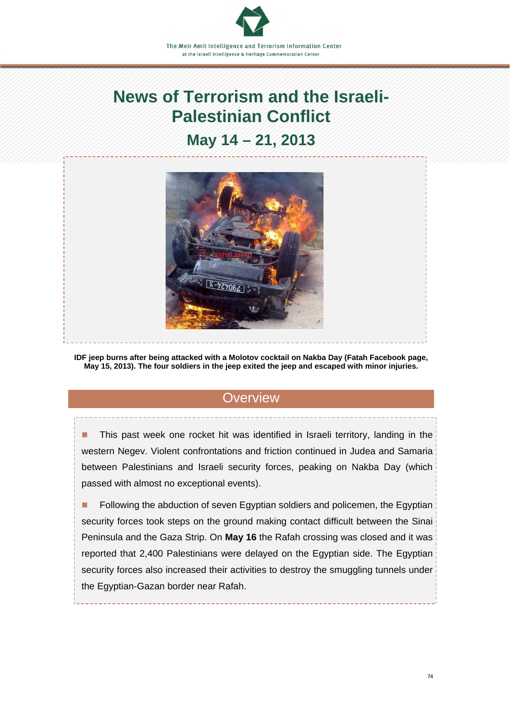# **News of Terrorism and the Israeli-Palestinian Conflict**

# **May 14 – 21, 2013**



**IDF jeep burns after being attacked with a Molotov cocktail on Nakba Day (Fatah Facebook page, May 15, 2013). The four soldiers in the jeep exited the jeep and escaped with minor injuries.**

# **Overview**

 This past week one rocket hit was identified in Israeli territory, landing in the western Negev. Violent confrontations and friction continued in Judea and Samaria between Palestinians and Israeli security forces, peaking on Nakba Day (which passed with almost no exceptional events).

**Following the abduction of seven Egyptian soldiers and policemen, the Egyptian** security forces took steps on the ground making contact difficult between the Sinai Peninsula and the Gaza Strip. On **May 16** the Rafah crossing was closed and it was reported that 2,400 Palestinians were delayed on the Egyptian side. The Egyptian security forces also increased their activities to destroy the smuggling tunnels under the Egyptian-Gazan border near Rafah.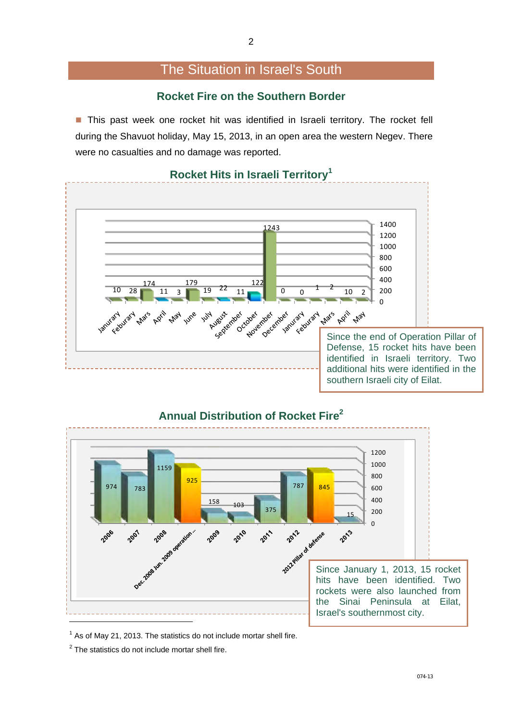# The Situation in Israel's South

#### **Rocket Fire on the Southern Border**

**This past week one rocket hit was identified in Israeli territory. The rocket fell** during the Shavuot holiday, May 15, 2013, in an open area the western Negev. There were no casualties and no damage was reported.



#### **Rocket Hits in Israeli Territory1**



#### **Annual Distribution of Rocket Fire<sup>2</sup>**

As of May 21, 2013. The statistics do not include mortar shell fire.

The statistics do not include mortar shell fire.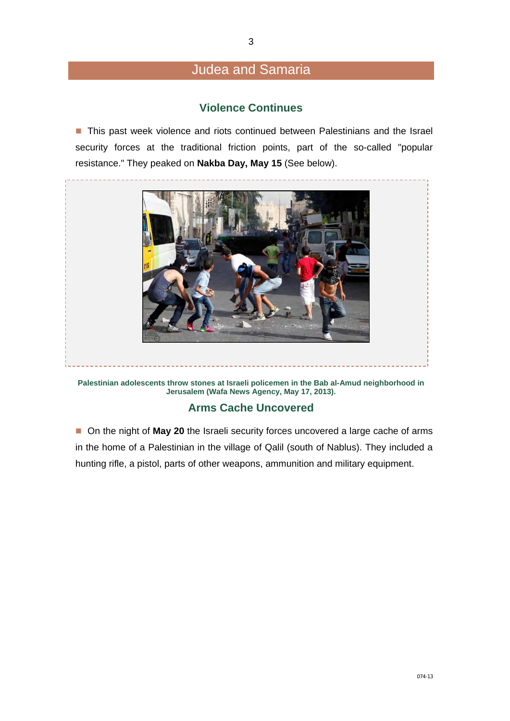# Judea and Samaria

#### **Violence Continues**

**This past week violence and riots continued between Palestinians and the Israel** security forces at the traditional friction points, part of the so-called "popular resistance." They peaked on **Nakba Day, May 15** (See below).



**Palestinian adolescents throw stones at Israeli policemen in the Bab al-Amud neighborhood in Jerusalem (Wafa News Agency, May 17, 2013).** 

#### **Arms Cache Uncovered**

■ On the night of **May 20** the Israeli security forces uncovered a large cache of arms in the home of a Palestinian in the village of Qalil (south of Nablus). They included a hunting rifle, a pistol, parts of other weapons, ammunition and military equipment.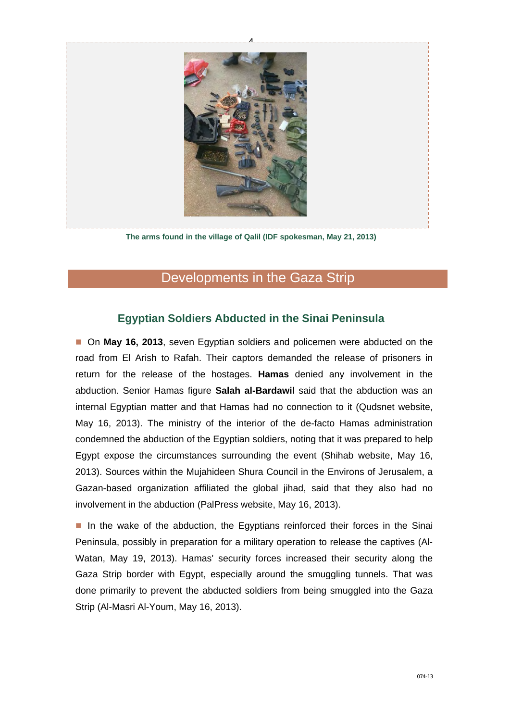

**The arms found in the village of Qalil (IDF spokesman, May 21, 2013)** 

# Developments in the Gaza Strip

#### **Egyptian Soldiers Abducted in the Sinai Peninsula**

■ On May 16, 2013, seven Egyptian soldiers and policemen were abducted on the road from El Arish to Rafah. Their captors demanded the release of prisoners in return for the release of the hostages. **Hamas** denied any involvement in the abduction. Senior Hamas figure **Salah al-Bardawil** said that the abduction was an internal Egyptian matter and that Hamas had no connection to it (Qudsnet website, May 16, 2013). The ministry of the interior of the de-facto Hamas administration condemned the abduction of the Egyptian soldiers, noting that it was prepared to help Egypt expose the circumstances surrounding the event (Shihab website, May 16, 2013). Sources within the Mujahideen Shura Council in the Environs of Jerusalem, a Gazan-based organization affiliated the global jihad, said that they also had no involvement in the abduction (PalPress website, May 16, 2013).

In the wake of the abduction, the Egyptians reinforced their forces in the Sinai Peninsula, possibly in preparation for a military operation to release the captives (Al-Watan, May 19, 2013). Hamas' security forces increased their security along the Gaza Strip border with Egypt, especially around the smuggling tunnels. That was done primarily to prevent the abducted soldiers from being smuggled into the Gaza Strip (Al-Masri Al-Youm, May 16, 2013).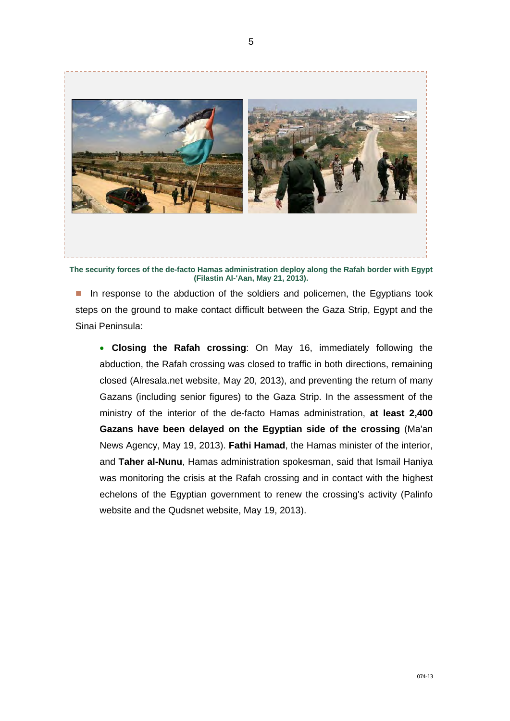

**The security forces of the de-facto Hamas administration deploy along the Rafah border with Egypt (Filastin Al-'Aan, May 21, 2013).** 

In response to the abduction of the soldiers and policemen, the Egyptians took steps on the ground to make contact difficult between the Gaza Strip, Egypt and the Sinai Peninsula:

 **Closing the Rafah crossing**: On May 16, immediately following the abduction, the Rafah crossing was closed to traffic in both directions, remaining closed (Alresala.net website, May 20, 2013), and preventing the return of many Gazans (including senior figures) to the Gaza Strip. In the assessment of the ministry of the interior of the de-facto Hamas administration, **at least 2,400 Gazans have been delayed on the Egyptian side of the crossing** (Ma'an News Agency, May 19, 2013). **Fathi Hamad**, the Hamas minister of the interior, and **Taher al-Nunu**, Hamas administration spokesman, said that Ismail Haniya was monitoring the crisis at the Rafah crossing and in contact with the highest echelons of the Egyptian government to renew the crossing's activity (Palinfo website and the Qudsnet website, May 19, 2013).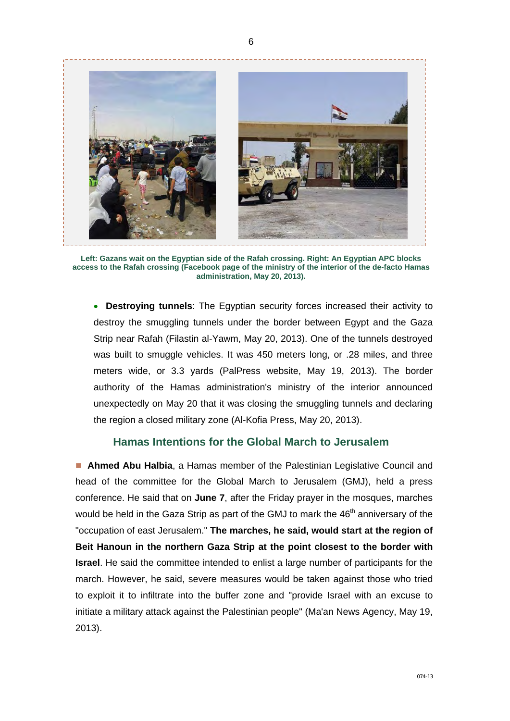

**Left: Gazans wait on the Egyptian side of the Rafah crossing. Right: An Egyptian APC blocks access to the Rafah crossing (Facebook page of the ministry of the interior of the de-facto Hamas administration, May 20, 2013).** 

 **Destroying tunnels**: The Egyptian security forces increased their activity to destroy the smuggling tunnels under the border between Egypt and the Gaza Strip near Rafah (Filastin al-Yawm, May 20, 2013). One of the tunnels destroyed was built to smuggle vehicles. It was 450 meters long, or .28 miles, and three meters wide, or 3.3 yards (PalPress website, May 19, 2013). The border authority of the Hamas administration's ministry of the interior announced unexpectedly on May 20 that it was closing the smuggling tunnels and declaring the region a closed military zone (Al-Kofia Press, May 20, 2013).

#### **Hamas Intentions for the Global March to Jerusalem**

 **Ahmed Abu Halbia**, a Hamas member of the Palestinian Legislative Council and head of the committee for the Global March to Jerusalem (GMJ), held a press conference. He said that on **June 7**, after the Friday prayer in the mosques, marches would be held in the Gaza Strip as part of the GMJ to mark the 46<sup>th</sup> anniversary of the "occupation of east Jerusalem." **The marches, he said, would start at the region of Beit Hanoun in the northern Gaza Strip at the point closest to the border with Israel**. He said the committee intended to enlist a large number of participants for the march. However, he said, severe measures would be taken against those who tried to exploit it to infiltrate into the buffer zone and "provide Israel with an excuse to initiate a military attack against the Palestinian people" (Ma'an News Agency, May 19, 2013).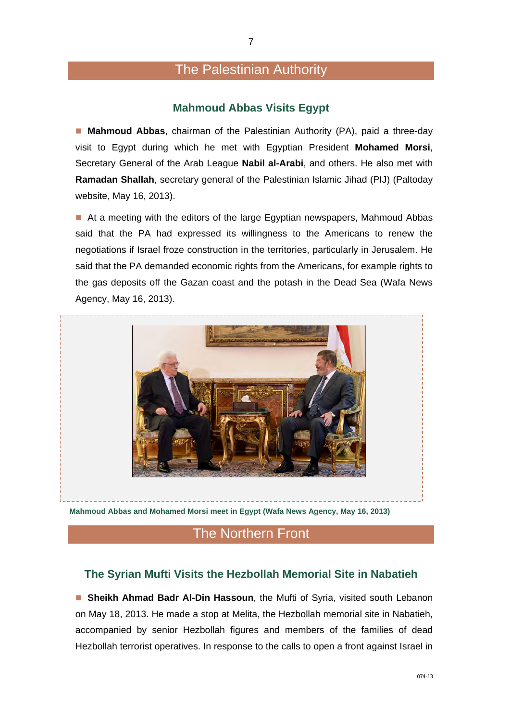## The Palestinian Authority

#### **Mahmoud Abbas Visits Egypt**

 **Mahmoud Abbas**, chairman of the Palestinian Authority (PA), paid a three-day visit to Egypt during which he met with Egyptian President **Mohamed Morsi**, Secretary General of the Arab League **Nabil al-Arabi**, and others. He also met with **Ramadan Shallah**, secretary general of the Palestinian Islamic Jihad (PIJ) (Paltoday website, May 16, 2013).

At a meeting with the editors of the large Egyptian newspapers, Mahmoud Abbas said that the PA had expressed its willingness to the Americans to renew the negotiations if Israel froze construction in the territories, particularly in Jerusalem. He said that the PA demanded economic rights from the Americans, for example rights to the gas deposits off the Gazan coast and the potash in the Dead Sea (Wafa News Agency, May 16, 2013).



**Mahmoud Abbas and Mohamed Morsi meet in Egypt (Wafa News Agency, May 16, 2013)** 

### The Northern Front

#### **The Syrian Mufti Visits the Hezbollah Memorial Site in Nabatieh**

 **Sheikh Ahmad Badr Al-Din Hassoun**, the Mufti of Syria, visited south Lebanon on May 18, 2013. He made a stop at Melita, the Hezbollah memorial site in Nabatieh, accompanied by senior Hezbollah figures and members of the families of dead Hezbollah terrorist operatives. In response to the calls to open a front against Israel in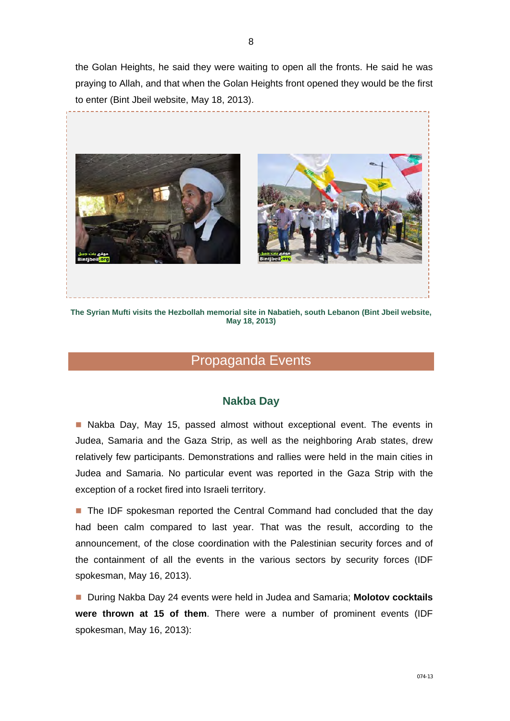the Golan Heights, he said they were waiting to open all the fronts. He said he was praying to Allah, and that when the Golan Heights front opened they would be the first to enter (Bint Jbeil website, May 18, 2013).



**May 18, 2013)** 

#### Propaganda Events

#### **Nakba Day**

■ Nakba Day, May 15, passed almost without exceptional event. The events in Judea, Samaria and the Gaza Strip, as well as the neighboring Arab states, drew relatively few participants. Demonstrations and rallies were held in the main cities in Judea and Samaria. No particular event was reported in the Gaza Strip with the exception of a rocket fired into Israeli territory.

■ The IDF spokesman reported the Central Command had concluded that the day had been calm compared to last year. That was the result, according to the announcement, of the close coordination with the Palestinian security forces and of the containment of all the events in the various sectors by security forces (IDF spokesman, May 16, 2013).

■ During Nakba Day 24 events were held in Judea and Samaria; Molotov cocktails **were thrown at 15 of them**. There were a number of prominent events (IDF spokesman, May 16, 2013):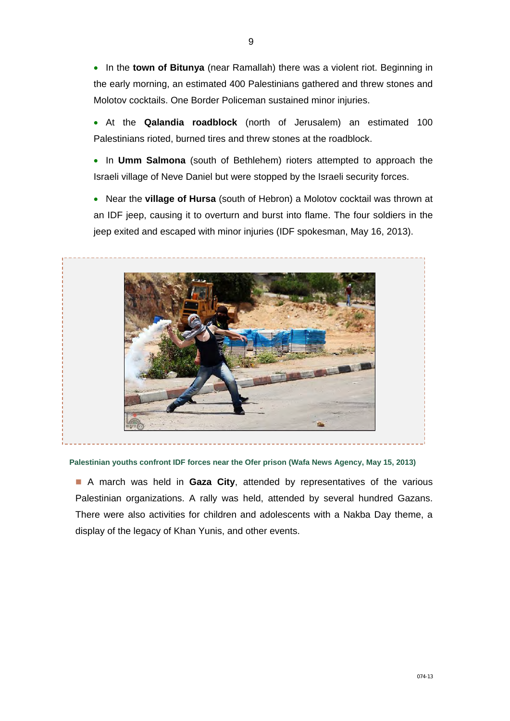In the **town of Bitunya** (near Ramallah) there was a violent riot. Beginning in the early morning, an estimated 400 Palestinians gathered and threw stones and Molotov cocktails. One Border Policeman sustained minor injuries.

- At the **Qalandia roadblock** (north of Jerusalem) an estimated 100 Palestinians rioted, burned tires and threw stones at the roadblock.
- In **Umm Salmona** (south of Bethlehem) rioters attempted to approach the Israeli village of Neve Daniel but were stopped by the Israeli security forces.
- Near the **village of Hursa** (south of Hebron) a Molotov cocktail was thrown at an IDF jeep, causing it to overturn and burst into flame. The four soldiers in the jeep exited and escaped with minor injuries (IDF spokesman, May 16, 2013).



**Palestinian youths confront IDF forces near the Ofer prison (Wafa News Agency, May 15, 2013)** 

 A march was held in **Gaza City**, attended by representatives of the various Palestinian organizations. A rally was held, attended by several hundred Gazans. There were also activities for children and adolescents with a Nakba Day theme, a display of the legacy of Khan Yunis, and other events.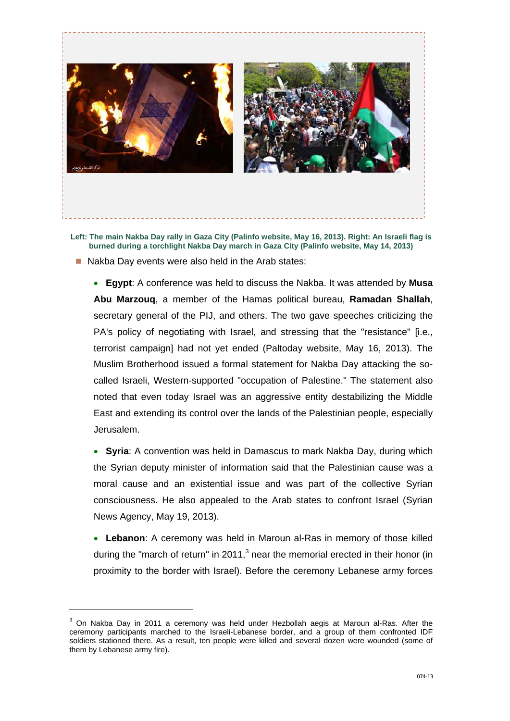

**Left: The main Nakba Day rally in Gaza City (Palinfo website, May 16, 2013). Right: An Israeli flag is burned during a torchlight Nakba Day march in Gaza City (Palinfo website, May 14, 2013)** 

Nakba Day events were also held in the Arab states:

 **Egypt**: A conference was held to discuss the Nakba. It was attended by **Musa Abu Marzouq**, a member of the Hamas political bureau, **Ramadan Shallah**, secretary general of the PIJ, and others. The two gave speeches criticizing the PA's policy of negotiating with Israel, and stressing that the "resistance" [i.e., terrorist campaign] had not yet ended (Paltoday website, May 16, 2013). The Muslim Brotherhood issued a formal statement for Nakba Day attacking the socalled Israeli, Western-supported "occupation of Palestine." The statement also noted that even today Israel was an aggressive entity destabilizing the Middle East and extending its control over the lands of the Palestinian people, especially Jerusalem.

 **Syria**: A convention was held in Damascus to mark Nakba Day, during which the Syrian deputy minister of information said that the Palestinian cause was a moral cause and an existential issue and was part of the collective Syrian consciousness. He also appealed to the Arab states to confront Israel (Syrian News Agency, May 19, 2013).

 **Lebanon**: A ceremony was held in Maroun al-Ras in memory of those killed during the "march of return" in 2011, $3$  near the memorial erected in their honor (in proximity to the border with Israel). Before the ceremony Lebanese army forces

-

 $3$  On Nakba Day in 2011 a ceremony was held under Hezbollah aegis at Maroun al-Ras. After the ceremony participants marched to the Israeli-Lebanese border, and a group of them confronted IDF soldiers stationed there. As a result, ten people were killed and several dozen were wounded (some of them by Lebanese army fire).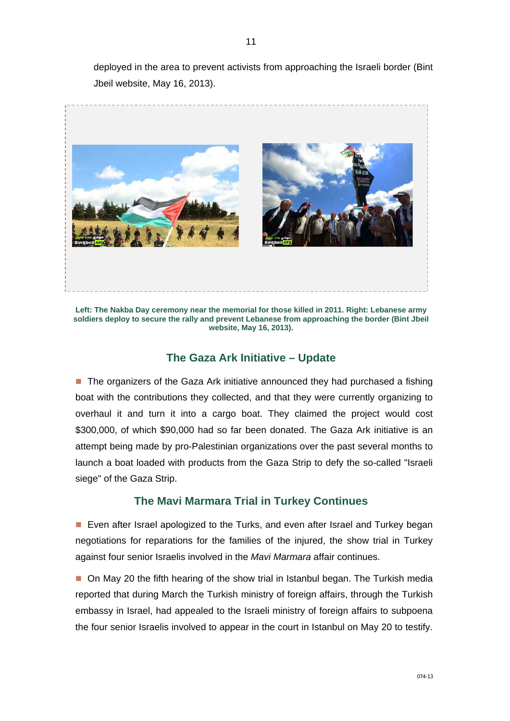deployed in the area to prevent activists from approaching the Israeli border (Bint Jbeil website, May 16, 2013).



**Left: The Nakba Day ceremony near the memorial for those killed in 2011. Right: Lebanese army soldiers deploy to secure the rally and prevent Lebanese from approaching the border (Bint Jbeil website, May 16, 2013).** 

#### **The Gaza Ark Initiative – Update**

■ The organizers of the Gaza Ark initiative announced they had purchased a fishing boat with the contributions they collected, and that they were currently organizing to overhaul it and turn it into a cargo boat. They claimed the project would cost \$300,000, of which \$90,000 had so far been donated. The Gaza Ark initiative is an attempt being made by pro-Palestinian organizations over the past several months to launch a boat loaded with products from the Gaza Strip to defy the so-called "Israeli siege" of the Gaza Strip.

#### **The Mavi Marmara Trial in Turkey Continues**

**Exen after Israel apologized to the Turks, and even after Israel and Turkey began** negotiations for reparations for the families of the injured, the show trial in Turkey against four senior Israelis involved in the *Mavi Marmara* affair continues.

 On May 20 the fifth hearing of the show trial in Istanbul began. The Turkish media reported that during March the Turkish ministry of foreign affairs, through the Turkish embassy in Israel, had appealed to the Israeli ministry of foreign affairs to subpoena the four senior Israelis involved to appear in the court in Istanbul on May 20 to testify.